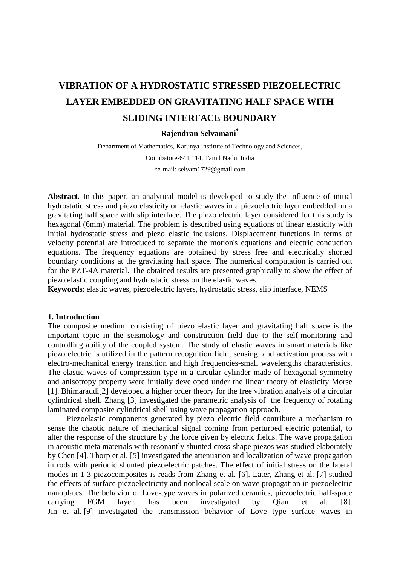# **VIBRATION OF A HYDROSTATIC STRESSED PIEZOELECTRIC LAYER EMBEDDED ON GRAVITATING HALF SPACE WITH SLIDING INTERFACE BOUNDARY**

## **Rajendran Selvamani\***

Department of Mathematics, Karunya Institute of Technology and Sciences, Coimbatore-641 114, Tamil Nadu, India \*e-mail: selvam1729@gmail.com

Abstract. In this paper, an analytical model is developed to study the influence of initial hydrostatic stress and piezo elasticity on elastic waves in a piezoelectric layer embedded on a gravitating half space with slip interface. The piezo electric layer considered for this study is hexagonal (6mm) material. The problem is described using equations of linear elasticity with initial hydrostatic stress and piezo elastic inclusions. Displacement functions in terms of velocity potential are introduced to separate the motion's equations and electric conduction equations. The frequency equations are obtained by stress free and electrically shorted boundary conditions at the gravitating half space. The numerical computation is carried out for the PZT-4A material. The obtained results are presented graphically to show the effect of piezo elastic coupling and hydrostatic stress on the elastic waves.

**Keywords**: elastic waves, piezoelectric layers, hydrostatic stress, slip interface, NEMS

#### **1. Introduction**

The composite medium consisting of piezo elastic layer and gravitating half space is the important topic in the seismology and construction field due to the self-monitoring and controlling ability of the coupled system. The study of elastic waves in smart materials like piezo electric is utilized in the pattern recognition field, sensing, and activation process with electro-mechanical energy transition and high frequencies-small wavelengths characteristics. The elastic waves of compression type in a circular cylinder made of hexagonal symmetry and anisotropy property were initially developed under the linear theory of elasticity Morse [1]. Bhimaraddi[2] developed a higher order theory for the free vibration analysis of a circular cylindrical shell. Zhang [3] investigated the parametric analysis of the frequency of rotating laminated composite cylindrical shell using wave propagation approach.

Piezoelastic components generated by piezo electric field contribute a mechanism to sense the chaotic nature of mechanical signal coming from perturbed electric potential, to alter the response of the structure by the force given by electric fields. The wave propagation in acoustic meta materials with resonantly shunted cross-shape piezos was studied elaborately by Chen [4]. Thorp et al. [5] investigated the attenuation and localization of wave propagation in rods with periodic shunted piezoelectric patches. The effect of initial stress on the lateral modes in 1-3 piezocomposites is reads from Zhang et al. [6]. Later, Zhang et al. [7] studied the effects of surface piezoelectricity and nonlocal scale on wave propagation in piezoelectric nanoplates. The behavior of Love-type waves in polarized ceramics, piezoelectric half-space carrying FGM layer, has been investigated by Qian et al. [8]. Jin et al. [9] investigated the transmission behavior of Love type surface waves in http://dx.doi.org/10.18720/MPM.4422020\_8

© 2020, Peter the Great St. Petersburg Polytechnic University © 2020, Institute of Problems of Mechanical Engineering RAS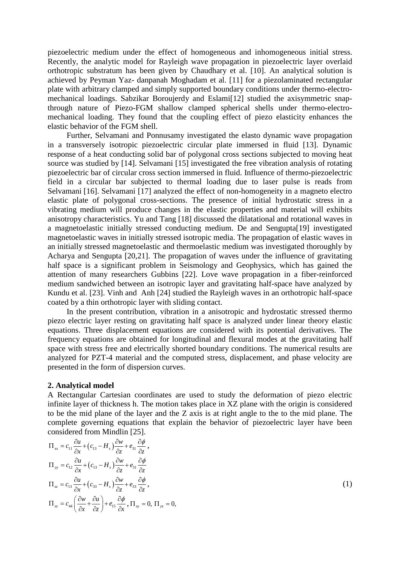piezoelectric medium under the effect of homogeneous and inhomogeneous initial stress. Recently, the analytic model for Rayleigh wave propagation in piezoelectric layer overlaid orthotropic substratum has been given by Chaudhary et al. [10]. An analytical solution is achieved by Peyman Yaz- danpanah Moghadam et al. [11] for a piezolaminated rectangular plate with arbitrary clamped and simply supported boundary conditions under thermo-electromechanical loadings. Sabzikar Boroujerdy and Eslami[12] studied the axisymmetric snapthrough nature of Piezo-FGM shallow clamped spherical shells under thermo-electromechanical loading. They found that the coupling effect of piezo elasticity enhances the elastic behavior of the FGM shell.

Further, Selvamani and Ponnusamy investigated the elasto dynamic wave propagation in a transversely isotropic piezoelectric circular plate immersed in fluid [13]. Dynamic response of a heat conducting solid bar of polygonal cross sections subjected to moving heat source was studied by [14]. Selvamani [15] investigated the free vibration analysis of rotating piezoelectric bar of circular cross section immersed in fluid. Influence of thermo-piezoelectric field in a circular bar subjected to thermal loading due to laser pulse is reads from Selvamani [16]. Selvamani [17] analyzed the effect of non-homogeneity in a magneto electro elastic plate of polygonal cross-sections. The presence of initial hydrostatic stress in a vibrating medium will produce changes in the elastic properties and material will exhibits anisotropy characteristics. Yu and Tang [18] discussed the dilatational and rotational waves in a magnetoelastic initially stressed conducting medium. De and Sengupta[19] investigated magnetoelastic waves in initially stressed isotropic media. The propagation of elastic waves in an initially stressed magnetoelastic and thermoelastic medium was investigated thoroughly by Acharya and Sengupta [20,21]. The propagation of waves under the influence of gravitating half space is a significant problem in Seismology and Geophysics, which has gained the attention of many researchers Gubbins [22]. Love wave propagation in a fiber-reinforced medium sandwiched between an isotropic layer and gravitating half-space have analyzed by Kundu et al. [23]. Vinh and Anh [24] studied the Rayleigh waves in an orthotropic half-space coated by a thin orthotropic layer with sliding contact.

In the present contribution, vibration in a anisotropic and hydrostatic stressed thermo piezo electric layer resting on gravitating half space is analyzed under linear theory elastic equations. Three displacement equations are considered with its potential derivatives. The frequency equations are obtained for longitudinal and flexural modes at the gravitating half space with stress free and electrically shorted boundary conditions. The numerical results are analyzed for PZT-4 material and the computed stress, displacement, and phase velocity are presented in the form of dispersion curves.

## **2. Analytical model**

A Rectangular Cartesian coordinates are used to study the deformation of piezo electric infinite layer of thickness h. The motion takes place in XZ plane with the origin is considered to be the mid plane of the layer and the Z axis is at right angle to the to the mid plane. The complete governing equations that explain the behavior of piezoelectric layer have been considered from Mindlin [25].

$$
\Pi_{xx} = c_{11} \frac{\partial u}{\partial x} + (c_{13} - H_s) \frac{\partial w}{\partial z} + e_{31} \frac{\partial \phi}{\partial z},
$$
\n
$$
\Pi_{yy} = c_{12} \frac{\partial u}{\partial x} + (c_{13} - H_s) \frac{\partial w}{\partial z} + e_{31} \frac{\partial \phi}{\partial z}
$$
\n
$$
\Pi_{zz} = c_{13} \frac{\partial u}{\partial x} + (c_{33} - H_s) \frac{\partial w}{\partial z} + e_{33} \frac{\partial \phi}{\partial z},
$$
\n
$$
\Pi_{xz} = c_{44} \left( \frac{\partial w}{\partial x} + \frac{\partial u}{\partial z} \right) + e_{15} \frac{\partial \phi}{\partial x}, \Pi_{xy} = 0, \Pi_{yz} = 0,
$$
\n(1)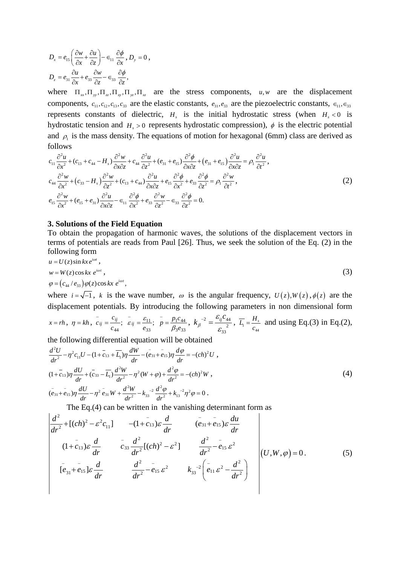240 Rajendran Selvamani

$$
D_x = e_{15} \left( \frac{\partial w}{\partial x} + \frac{\partial u}{\partial z} \right) - \epsilon_{11} \frac{\partial \phi}{\partial x}, D_y = 0,
$$
  

$$
D_z = e_{31} \frac{\partial u}{\partial x} + e_{33} \frac{\partial w}{\partial z} - \epsilon_{33} \frac{\partial \phi}{\partial z},
$$

where  $\Pi_{\alpha}$ ,  $\Pi_{\alpha}$ ,  $\Pi_{\alpha}$ ,  $\Pi_{\alpha}$ ,  $\Pi_{\alpha}$ ,  $\Pi_{\alpha}$  are the stress components, *u, w* are the displacement components,  $c_{11}, c_{12}, c_{13}, c_{33}$  are the elastic constants,  $e_{31}, e_{33}$  are the piezoelectric constants,  $\epsilon_{11}, \epsilon_{33}$ represents constants of dielectric,  $H<sub>s</sub>$  is the initial hydrostatic stress (when  $H<sub>s</sub> < 0$  is hydrostatic tension and  $H<sub>s</sub> > 0$  represents hydrostatic compression),  $\phi$  is the electric potential and  $\rho_1$  is the mass density. The equations of motion for hexagonal (6mm) class are derived as follows

$$
c_{11} \frac{\partial^2 u}{\partial x^2} + (c_{13} + c_{44} - H_s) \frac{\partial^2 w}{\partial x \partial z} + c_{44} \frac{\partial^2 u}{\partial z^2} + (e_{31} + e_{15}) \frac{\partial^2 \phi}{\partial x \partial z} + (e_{31} + e_{15}) \frac{\partial^2 u}{\partial x \partial z} = \rho_1 \frac{\partial^2 u}{\partial t^2},
$$
  
\n
$$
c_{44} \frac{\partial^2 w}{\partial x^2} + (c_{33} - H_s) \frac{\partial^2 w}{\partial z^2} + (c_{13} + c_{44}) \frac{\partial^2 u}{\partial x \partial z} + e_{15} \frac{\partial^2 \phi}{\partial x^2} + e_{33} \frac{\partial^2 \phi}{\partial z^2} = \rho_1 \frac{\partial^2 w}{\partial t^2},
$$
  
\n
$$
e_{15} \frac{\partial^2 w}{\partial x^2} + (e_{15} + e_{31}) \frac{\partial^2 u}{\partial x \partial z} - \epsilon_{11} \frac{\partial^2 \phi}{\partial x^2} + e_{33} \frac{\partial^2 w}{\partial z^2} - \epsilon_{33} \frac{\partial^2 \phi}{\partial z^2} = 0.
$$
  
\n(2)

## **3. Solutions of the Field Equation**

To obtain the propagation of harmonic waves, the solutions of the displacement vectors in terms of potentials are reads from Paul [26]. Thus, we seek the solution of the Eq. (2) in the following form

$$
u = U(z)\sin kxe^{i\omega t},
$$
  
\n
$$
w = W(z)\cos kx \, e^{i\omega t},
$$
  
\n
$$
\varphi = (c_{44}/e_{33})\varphi(z)\cos kx \, e^{i\omega t},
$$
\n(3)

where  $i = \sqrt{-1}$ , *k* is the wave number,  $\omega$  is the angular frequency,  $U(z)$ ,  $W(z)$ ,  $\phi(z)$  are the displacement potentials. By introducing the following parameters in non dimensional form

$$
x = rh
$$
,  $\eta = kh$ ,  $c_{ij} = \frac{c_{ij}}{c_{44}}$ ;  $\overline{\varepsilon}_{ij} = \frac{\varepsilon_{11}}{e_{33}}$ ;  $\overline{p} = \frac{p_1 c_{44}}{\beta_3 e_{33}}$ ,  $k_{\beta}^{-2} = \frac{\varepsilon_{ij} c_{44}}{\varepsilon_{33}^{-2}}$ ,  $\overline{L}_1 = \frac{H_s}{c_{44}}$  and using Eq.(3) in Eq.(2),

the following differential equation will be obtained

$$
\frac{d^2U}{dr^2} - \eta^2 c_{11}U - (1 + \overline{c}_{13} + \overline{L}_1)\eta \frac{dW}{dr} - (\overline{e}_{31} + \overline{e}_{15})\eta \frac{d\varphi}{dr} = -(ch)^2 U,
$$
\n
$$
(1 + \overline{c}_{13})\eta \frac{dU}{dr} + (\overline{c}_{33} - \overline{L}_1) \frac{d^2W}{dr^2} - \eta^2 (W + \varphi) + \frac{d^2\varphi}{dr^2} = -(ch)^2 W,
$$
\n
$$
(\overline{e}_{31} + \overline{e}_{15})\eta \frac{dU}{dr} - \eta^2 \overline{e}_{31}W + \frac{d^2W}{dr^2} - k_{33}^{-2} \frac{d^2\varphi}{dr^2} + k_{13}^{-2}\eta^2 \varphi = 0.
$$
\n(4)

The Eq.(4) can be written in the vanishing determinant form as

$$
\frac{d^{2}}{dr^{2}} + [(ch)^{2} - \varepsilon^{2} c_{11}] \qquad -(1 + \bar{c}_{13}) \varepsilon \frac{d}{dr} \qquad (\bar{e}_{31} + \bar{e}_{15}) \varepsilon \frac{du}{dr}
$$
\n
$$
(1 + \bar{c}_{13}) \varepsilon \frac{d}{dr} \qquad \bar{c}_{33} \frac{d^{2}}{dr^{2}} [(ch)^{2} - \varepsilon^{2}] \qquad \frac{d^{2}}{dr^{2}} - \bar{e}_{15} \varepsilon^{2}
$$
\n
$$
[\bar{e}_{31} + \bar{e}_{15}] \varepsilon \frac{d}{dr} \qquad \frac{d^{2}}{dr^{2}} - \bar{e}_{15} \varepsilon^{2} \qquad k_{33}^{-2} (\bar{e}_{11} \varepsilon^{2} - \frac{d^{2}}{dr^{2}}) \qquad (5)
$$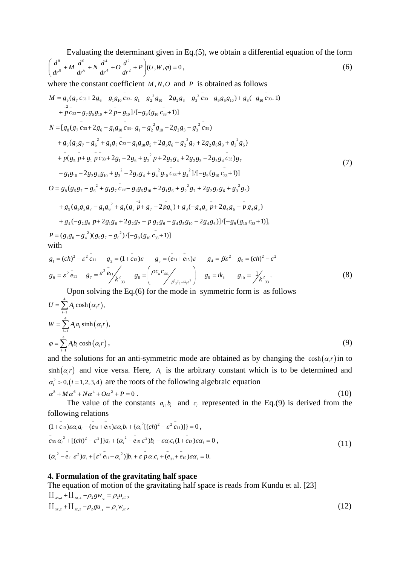Vibration of a hydrostatic stressed piezoelectric layer embedded on gravitating half space with... 241

Evaluating the determinant given in Eq.(5), we obtain a differential equation of the form

$$
\left(\frac{d^8}{dr^8} + M\frac{d^6}{dr^6} + N\frac{d^4}{dr^4} + O\frac{d^2}{dr^2} + P\right)(U, W, \varphi) = 0,
$$
\n(6)

where the constant coefficient  $M, N, O$  and  $P$  is obtained as follows

$$
M = g_9(g_7 \overline{c}_{33} + 2g_6 - g_1g_{10} \overline{c}_{33} - g_1 - g_2^2 g_{10} - 2g_2g_3 - g_3^2 \overline{c}_{33} - g_9g_5g_{10}) + g_8(-g_{10} \overline{c}_{33} - 1)
$$
  
\n
$$
+ \overline{p} c_{33} - g_7g_5g_{10} + 2\overline{p} - g_{10}]/[-g_9(g_{10} \overline{c}_{33} + 1)]
$$
  
\n
$$
N = [g_8(g_7 \overline{c}_{33} + 2g_6 - g_1g_{10} \overline{c}_{33} - g_1 - g_2^2 g_{10} - 2g_2g_3 - g_3^2 \overline{c}_{33})
$$
  
\n
$$
+ g_9(g_5g_7 - g_6^2 + g_1g_7 \overline{c}_{33} - g_1g_{10}g_5 + 2g_1g_6 + g_2^2 g_7 + 2g_2g_6g_3 + g_3^2 g_5)
$$
  
\n
$$
+ \overline{p}(g_5 \overline{p} + g_1 \overline{p} c_{33} + 2g_1 - 2g_6 + g_2^2 \overline{p} + 2g_2g_4 + 2g_2g_3 - 2g_3g_4 \overline{c}_{33})g_7
$$
  
\n
$$
- g_1g_{10} - 2g_2g_4g_{10} + g_3^2 - 2g_3g_4 + g_4^2 g_{10} \overline{c}_{33} + g_4^2]/[-g_9(g_{10} \overline{c}_{33} + 1)]
$$
  
\n
$$
O = g_8(g_5g_7 - g_6^2 + g_1g_7 \overline{c}_{33} - g_1g_5g_{10} + 2g_1g_6 + g_2^2 g_7 + 2g_2g_3g_6 + g_3^2 g_5)
$$
  
\n
$$
+ g_9(g_1g_5g_7 - g_1g_6^2 + g_1(g_5 \overline{p} + g_7 - 2\overline{p}g_6) + g_3(-g_4g_5 \overline{p} +
$$

$$
g_1 = (ch)^2 - \varepsilon^2 \overline{c}_{11} \qquad g_2 = (1 + \overline{c}_{13})\varepsilon \qquad g_3 = (\overline{e}_{31} + \overline{e}_{15})\varepsilon \qquad g_4 = \beta\varepsilon^2 \quad g_5 = (ch)^2 - \varepsilon^2
$$
  

$$
g_6 = \varepsilon^2 \overline{e}_{11} \qquad g_7 = \varepsilon^2 \overline{e}_{11} \Bigg|_{\mathcal{K}^2_{33}} \qquad g_8 = \left(\frac{\rho c_u c_{44}}{\rho_{37_0 - ik_1 \varepsilon^2}}\right) \qquad g_9 = ik_3 \qquad g_{10} = \frac{1}{\lambda \varepsilon^2_{33}}.
$$
  
(8)

Upon solving the Eq.(6) for the mode in symmetric form is as follows

$$
U = \sum_{i=1}^{4} A_i \cosh(\alpha_i r),
$$
  
\n
$$
W = \sum_{i=1}^{4} A_i a_i \sinh(\alpha_i r),
$$
  
\n
$$
\varphi = \sum_{i=1}^{4} A_i b_i \cosh(\alpha_i r),
$$
\n(9)

and the solutions for an anti-symmetric mode are obtained as by changing the  $cosh(\alpha_i r)$  in to  $\sinh(\alpha, r)$  and vice versa. Here, A<sub>i</sub> is the arbitrary constant which is to be determined and  $\alpha_i^2 > 0$ ,  $(i = 1, 2, 3, 4)$  are the roots of the following algebraic equation  $\alpha^8 + M\alpha^6 + N\alpha^4 + O\alpha^2 + P = 0$ . (10)

The value of the constants  $a_i, b_i$  and  $c_i$  represented in the Eq.(9) is derived from the following relations

$$
(1 + c_{13})\varepsilon\alpha_i a_i - (e_{31} + e_{15})\varepsilon\alpha_i b_i + \{\alpha_i^2[(ch)^2 - \varepsilon^2 c_{11})]\} = 0,
$$
  
\n
$$
c_{33} \alpha_i^2 + [(ch)^2 - \varepsilon^2]\}a_i + (\alpha_i^2 - e_{15} \varepsilon^2)b_i - \varepsilon\alpha_i c_i(1 + c_{13})\varepsilon\alpha_i = 0,
$$
  
\n
$$
(\alpha_i^2 - e_{11} \varepsilon^2)a_i + [\varepsilon^2 e_{11} - \alpha_i^2)]b_i + \varepsilon \rho \alpha_i c_i + (e_{31} + e_{15})\varepsilon\alpha_i = 0.
$$
\n(11)

## **4. Formulation of the gravitating half space**

The equation of motion of the gravitating half space is reads from Kundu et al. [23]  $\prod_{xx,x} + \prod_{xz,z} -\rho_2 g w_{z} = \rho_2 u_{tt}$  $\prod_{x,z} + \prod_{z,z} -\rho_2 gu_{z} = \rho_2 w_{tt}$ , (12)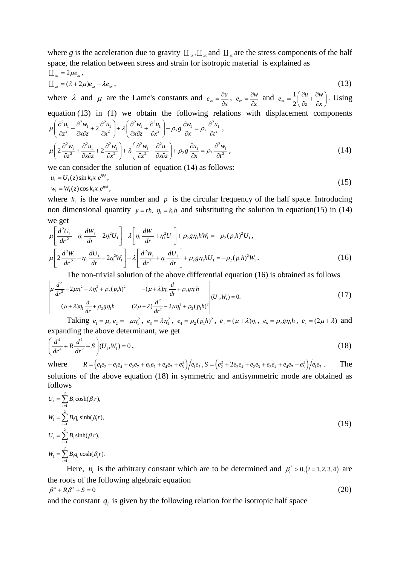where *g* is the acceleration due to gravity  $\prod_{x}$ ,  $\prod_{x}$  and  $\prod_{y}$  are the stress components of the half space, the relation between stress and strain for isotropic material is explained as

$$
\begin{aligned} \n\prod_{x} &= 2\mu e_x, \\ \n\prod_{z} &= (\lambda + 2\mu)e_z + \lambda e_x, \n\end{aligned} \tag{13}
$$

where  $\lambda$  and  $\mu$  are the Lame's constants and  $e_{xx} = \frac{\partial u}{\partial x}$ ,  $e_{zz} = \frac{\partial w}{\partial z}$  and  $e_{xz} = \frac{1}{2} \left( \frac{\partial u}{\partial z} + \frac{\partial w}{\partial x} \right)$ . Using equation (13) in (1) we obtain the following relations with displacement components  $\mu \left( \frac{\partial^2 u_1}{\partial z^2} + \frac{\partial^2 w_1}{\partial x \partial z} + 2 \frac{\partial^2 u_1}{\partial x^2} \right) + \lambda \left( \frac{\partial^2 w_1}{\partial x \partial z} + \frac{\partial^2 u_1}{\partial x^2} \right) - \rho_2 g \frac{\partial w_1}{\partial x} = \rho_2 \frac{\partial^2 u_1}{\partial t^2}$ 

$$
\mu \left( 2 \frac{\partial^2 w_1}{\partial z^2} + \frac{\partial^2 u_1}{\partial x \partial z} + 2 \frac{\partial^2 w_1}{\partial x^2} \right) + \lambda \left( \frac{\partial^2 w_1}{\partial z^2} + \frac{\partial^2 u_1}{\partial x \partial z} \right) + \rho_2 g \frac{\partial u_1}{\partial x} = \rho_2 \frac{\partial^2 w_1}{\partial t^2},
$$
\n(14)

we can consider the solution of equation  $(14)$  as follows:

$$
u_1 = U_1(z)\sin k_1 x \, e^{ip_1 t}, \n w_1 = W_1(z)\cos k_1 x \, e^{ip_1 t},
$$
\n(15)

where  $k_1$  is the wave number and  $p_1$  is the circular frequency of the half space. Introducing non dimensional quantity  $y = rh$ ,  $\eta_i = k_i h$  and substituting the solution in equation(15) in (14) we get

$$
\mu \left[ \frac{d^2 U_1}{dr^2} - \eta_1 \frac{dW_1}{dr} - 2\eta_1^2 U_1 \right] - \lambda \left[ \eta_1 \frac{dW_1}{dr} + \eta_1^2 U_1 \right] + \rho_2 g \eta_1 h W_1 = -\rho_2 (p_1 h)^2 U_1,
$$
\n
$$
\mu \left[ 2 \frac{d^2 W_1}{dr^2} + \eta_1 \frac{dU_1}{dr} - 2\eta_1^2 W_1 \right] + \lambda \left[ \frac{d^2 W_1}{dr^2} + \eta_1 \frac{dU_1}{dr} \right] + \rho_2 g \eta_1 h U_1 = -\rho_2 (p_1 h)^2 W_1.
$$
\n(16)

The non-trivial solution of the above differential equation (16) is obtained as follows

$$
\begin{vmatrix} \mu \frac{d^2}{dr^2} - 2\mu \eta_1^2 - \lambda \eta_1^2 + \rho_2 (p_1 h)^2 & -(\mu + \lambda) \eta_1 \frac{d}{dr} + \rho_2 g \eta_1 h \\ (\mu + \lambda) \eta_1 \frac{d}{dr} + \rho_2 g \eta_1 h & (2\mu + \lambda) \frac{d^2}{dr^2} - 2\mu \eta_1^2 + \rho_2 (p_1 h)^2 \end{vmatrix} (U_1, W_1) = 0.
$$
 (17)

Taking  $e_1 = \mu$ ,  $e_2 = -\mu \eta_1^2$ ,  $e_3 = \lambda \eta_1^2$ ,  $e_4 = \rho_2 (p_1 h)^2$ ,  $e_5 = (\mu + \lambda) \eta_1$ ,  $e_6 = \rho_2 g \eta_1 h$ ,  $e_7 = (2\mu + \lambda)$  and expanding the above determinant, we get

$$
\left(\frac{d^4}{dr^4} + R\frac{d^2}{dr^2} + S\right)(U_1, W_1) = 0,
$$
\n(18)

where  $R = (e_1e_2 + e_1e_4 + e_2e_7 + e_3e_7 + e_4e_7 + e_5^2)/e_1e_7$ ,  $S = (e_2^2 + 2e_2e_4 + e_2e_3 + e_3e_4 + e_4e_7 + e_5^2)/e_1e_7$ . The solutions of the above equation (18) in symmetric and antisymmetric mode are obtained as follows

$$
U_1 = \sum_{i=1}^{2} B_i \cosh(\beta_i r),
$$
  
\n
$$
W_1 = \sum_{i=1}^{2} B_i q_i \sinh(\beta_i r),
$$
  
\n
$$
U_1 = \sum_{i=1}^{2} B_i \sinh(\beta_i r),
$$
  
\n
$$
W_1 = \sum_{i=1}^{2} B_i q_i \cosh(\beta_i r).
$$
  
\n(19)

Here,  $B_i$  is the arbitrary constant which are to be determined and  $\beta_i^2 > 0$ ,  $(i = 1, 2, 3, 4)$  are the roots of the following algebraic equation  $\beta^4 + R \beta^2 + S = 0$  (20)

and the constant  $q_i$  is given by the following relation for the isotropic half space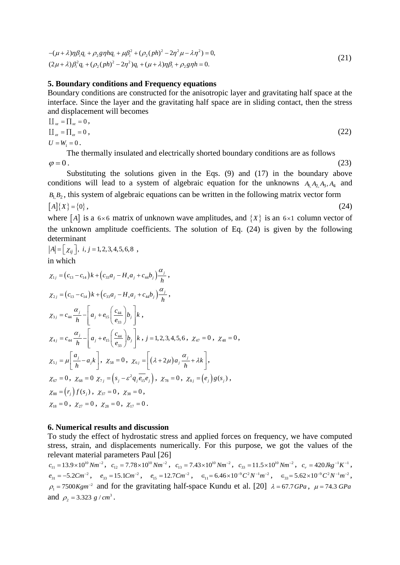Vibration of a hydrostatic stressed piezoelectric layer embedded on gravitating half space with... 243

$$
-(\mu + \lambda)\eta \beta_i q_i + \rho_2 g \eta h q_i + \mu \beta_i^2 + (\rho_2 (ph)^2 - 2\eta^2 \mu - \lambda \eta^2) = 0,
$$
  
\n
$$
(2\mu + \lambda)\beta_i^2 q_i + (\rho_2 (ph)^2 - 2\eta^2) q_i + (\mu + \lambda)\eta \beta_i + \rho_2 g \eta h = 0.
$$
\n(21)

## **5. Boundary conditions and Frequency equations**

Boundary conditions are constructed for the anisotropic layer and gravitating half space at the interface. Since the layer and the gravitating half space are in sliding contact, then the stress and displacement will becomes

$$
\begin{aligned} \n\prod_{x} &= \prod_{x} = 0, \\ \n\prod_{x} &= \prod_{x} = 0, \\ \nU &= W_1 = 0. \n\end{aligned} \tag{22}
$$

The thermally insulated and electrically shorted boundary conditions are as follows  $\varphi = 0$ . (23)

Substituting the solutions given in the Eqs. (9) and (17) in the boundary above conditions will lead to a system of algebraic equation for the unknowns  $A_1 A_2 A_3$ ,  $A_4$  and  $B_1, B_2$ , this system of algebraic equations can be written in the following matrix vector form  $[A]\{X\} = \{0\},\qquad(24)$ 

where [A] is a  $6 \times 6$  matrix of unknown wave amplitudes, and  $\{X\}$  is an  $6 \times 1$  column vector of the unknown amplitude coefficients. The solution of Eq. (24) is given by the following determinant

$$
|A| = [x_{ij}], i, j = 1, 2, 3, 4, 5, 6, 8
$$
,  
in which

in which

$$
\chi_{1j} = (c_{13} - c_{14}) k + (c_{33}a_j - H_s a_j + c_{44}b_j) \frac{\alpha_j}{h},
$$
  
\n
$$
\chi_{2j} = (c_{13} - c_{14}) k + (c_{33}a_j - H_s a_j + c_{44}b_j) \frac{\alpha_j}{h},
$$
  
\n
$$
\chi_{3j} = c_{44} \frac{\alpha_j}{h} - \left[ a_j + e_{15} \left( \frac{c_{44}}{e_{33}} \right) b_j \right] k,
$$
  
\n
$$
\chi_{4j} = c_{44} \frac{\alpha_j}{h} - \left[ a_j + e_{15} \left( \frac{c_{44}}{e_{33}} \right) b_j \right] k, j = 1, 2, 3, 4, 5, 6, \chi_{47} = 0, \chi_{48} = 0,
$$
  
\n
$$
\chi_{5j} = \mu \left[ \frac{a_j}{h} - a_j k \right], \chi_{58} = 0, \chi_{6j} = \left[ (\lambda + 2\mu) a_j \frac{\alpha_j}{h} + \lambda k \right],
$$
  
\n
$$
\chi_{67} = 0, \chi_{68} = 0 \chi_{7j} = (s_j - \varepsilon^2 q_j \overline{e_{15}} e_j), \chi_{78} = 0, \chi_{8j} = (e_j) g(s_j),
$$
  
\n
$$
\chi_{88} = (r_j) f(s_j), \chi_{37} = 0, \chi_{38} = 0,
$$
  
\n
$$
\chi_{18} = 0, \chi_{27} = 0, \chi_{28} = 0, \chi_{17} = 0.
$$

## **6. Numerical results and discussion**

To study the effect of hydrostatic stress and applied forces on frequency, we have computed stress, strain, and displacements numerically. For this purpose, we got the values of the

relevant material parameters Paul [26]<br>  $c_{11} = 13.9 \times 10^{10} Nm^{-2}$ ,  $c_{12} = 7.78 \times 10^{10} Nm^{-2}$ ,  $c_{13} = 7.43 \times 10^{10} Nm^{-2}$ ,  $c_{33} = 11.5 \times 10^{10} Nm^{-2}$ ,  $c_v = 420 Jkg^{-1}K^{-1}$ ,  $e_{31} = -5.2 C m^{-2}$ ,  $e_{33} = 15.1 C m^{-2}$ ,  $e_{15} = 12.7 C m^{-2}$ ,  $\epsilon_{11} = 6.46 \times 10^{-9} C^2 N^{-1} m^{-2}$ ,  $\epsilon_{33} = 5.62 \times 10^{-9} C^2 N^{-1} m^{-2}$ ,  $\rho_1 = 7500Kgm^{-2}$  and for the gravitating half-space Kundu et al. [20]  $\lambda = 67.7GPa$ ,  $\mu = 74.3 GPa$ and  $\rho_2 = 3.323 \frac{g}{cm^3}$ .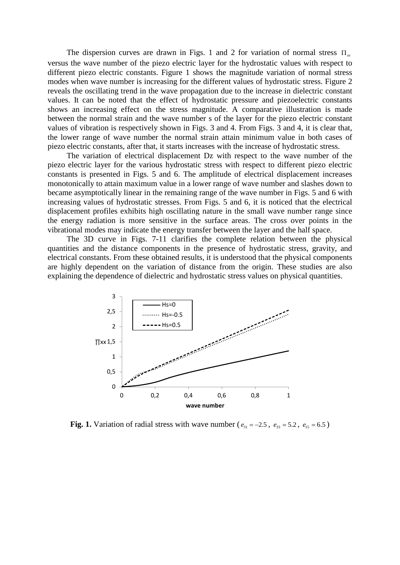The dispersion curves are drawn in Figs. 1 and 2 for variation of normal stress  $\Pi_{\infty}$ 

versus the wave number of the piezo electric layer for the hydrostatic values with respect to different piezo electric constants. Figure 1 shows the magnitude variation of normal stress modes when wave number is increasing for the different values of hydrostatic stress. Figure 2 reveals the oscillating trend in the wave propagation due to the increase in dielectric constant values. It can be noted that the effect of hydrostatic pressure and piezoelectric constants shows an increasing effect on the stress magnitude. A comparative illustration is made between the normal strain and the wave number s of the layer for the piezo electric constant values of vibration is respectively shown in Figs. 3 and 4. From Figs. 3 and 4, it is clear that, the lower range of wave number the normal strain attain minimum value in both cases of piezo electric constants, after that, it starts increases with the increase of hydrostatic stress.

The variation of electrical displacement Dz with respect to the wave number of the piezo electric layer for the various hydrostatic stress with respect to different piezo electric constants is presented in Figs. 5 and 6. The amplitude of electrical displacement increases monotonically to attain maximum value in a lower range of wave number and slashes down to became asymptotically linear in the remaining range of the wave number in Figs. 5 and 6 with increasing values of hydrostatic stresses. From Figs. 5 and 6, it is noticed that the electrical displacement profiles exhibits high oscillating nature in the small wave number range since the energy radiation is more sensitive in the surface areas. The cross over points in the vibrational modes may indicate the energy transfer between the layer and the half space.

The 3D curve in Figs. 7-11 clarifies the complete relation between the physical quantities and the distance components in the presence of hydrostatic stress, gravity, and electrical constants. From these obtained results, it is understood that the physical components are highly dependent on the variation of distance from the origin. These studies are also explaining the dependence of dielectric and hydrostatic stress values on physical quantities.



**Fig. 1.** Variation of radial stress with wave number ( $e_{31} = -2.5$ ,  $e_{33} = 5.2$ ,  $e_{15} = 6.5$ )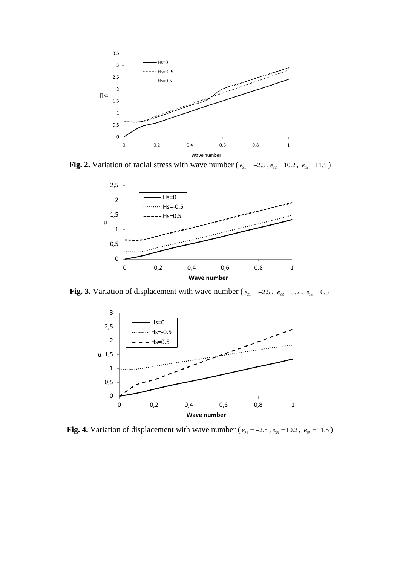Vibration of a hydrostatic stressed piezoelectric layer embedded on gravitating half space with... 245



**Fig. 2.** Variation of radial stress with wave number ( $e_{31} = -2.5$ ,  $e_{33} = 10.2$ ,  $e_{15} = 11.5$ )



**Fig. 3.** Variation of displacement with wave number ( $e_{31} = -2.5$ ,  $e_{33} = 5.2$ ,  $e_{15} = 6.5$ 



**Fig. 4.** Variation of displacement with wave number ( $e_{31} = -2.5$ ,  $e_{33} = 10.2$ ,  $e_{15} = 11.5$ )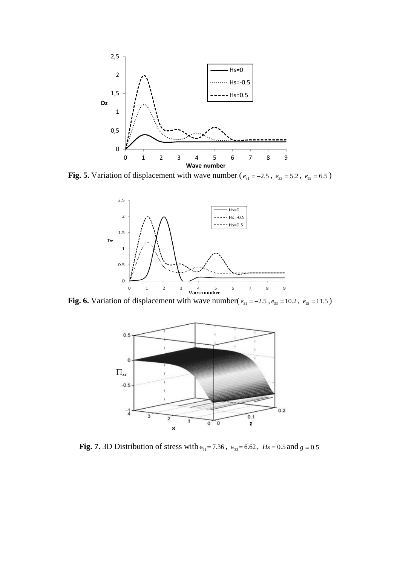

**Fig. 5.** Variation of displacement with wave number ( $e_{31} = -2.5$ ,  $e_{33} = 5.2$ ,  $e_{15} = 6.5$ )



**Fig. 6.** Variation of displacement with wave number( $e_{31} = -2.5$ ,  $e_{33} = 10.2$ ,  $e_{15} = 11.5$ )



**Fig. 7.** 3D Distribution of stress with  $\epsilon_{11} = 7.36$ ,  $\epsilon_{33} = 6.62$ ,  $Hs = 0.5$  and  $g = 0.5$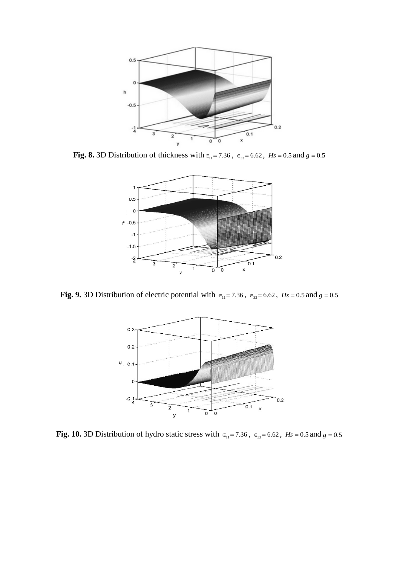

**Fig. 8.** 3D Distribution of thickness with  $\epsilon_{11} = 7.36$ ,  $\epsilon_{33} = 6.62$ ,  $Hs = 0.5$  and  $g = 0.5$ 



**Fig. 9.** 3D Distribution of electric potential with  $\epsilon_{11} = 7.36$ ,  $\epsilon_{33} = 6.62$ ,  $Hs = 0.5$  and  $g = 0.5$ 



**Fig. 10.** 3D Distribution of hydro static stress with  $\epsilon_{11} = 7.36$ ,  $\epsilon_{33} = 6.62$ ,  $Hs = 0.5$  and  $g = 0.5$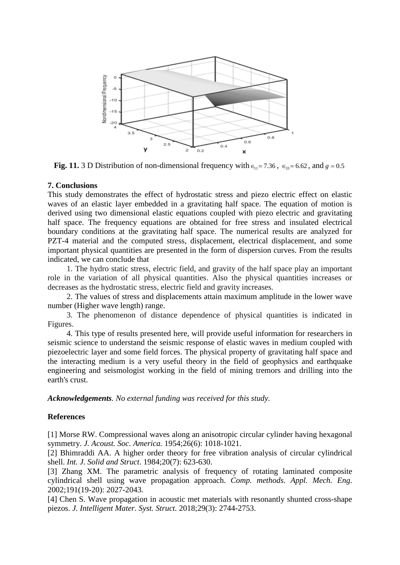

**Fig. 11.** 3 D Distribution of non-dimensional frequency with  $\epsilon_{11} = 7.36$ ,  $\epsilon_{33} = 6.62$ , and  $g = 0.5$ 

## **7. Conclusions**

This study demonstrates the effect of hydrostatic stress and piezo electric effect on elastic waves of an elastic layer embedded in a gravitating half space. The equation of motion is derived using two dimensional elastic equations coupled with piezo electric and gravitating half space. The frequency equations are obtained for free stress and insulated electrical boundary conditions at the gravitating half space. The numerical results are analyzed for PZT-4 material and the computed stress, displacement, electrical displacement, and some important physical quantities are presented in the form of dispersion curves. From the results indicated, we can conclude that

1. The hydro static stress, electric field, and gravity of the half space play an important role in the variation of all physical quantities. Also the physical quantities increases or decreases as the hydrostatic stress, electric field and gravity increases.

2. The values of stress and displacements attain maximum amplitude in the lower wave number (Higher wave length) range.

3. The phenomenon of distance dependence of physical quantities is indicated in Figures.

4. This type of results presented here, will provide useful information for researchers in seismic science to understand the seismic response of elastic waves in medium coupled with piezoelectric layer and some field forces. The physical property of gravitating half space and the interacting medium is a very useful theory in the field of geophysics and earthquake engineering and seismologist working in the field of mining tremors and drilling into the earth's crust.

*Acknowledgements. No external funding was received for this study.* 

## **References**

[1] Morse RW. Compressional waves along an anisotropic circular cylinder having hexagonal symmetry. *J. Acoust. Soc. America.* 1954;26(6): 1018-1021.

[2] Bhimraddi AA. A higher order theory for free vibration analysis of circular cylindrical shell. *Int. J. Solid and Struct*. 1984;20(7): 623-630.

[3] Zhang XM. The parametric analysis of frequency of rotating laminated composite cylindrical shell using wave propagation approach. *Comp. methods. Appl. Mech. Eng*. 2002;191(19-20): 2027-2043.

[4] Chen S. Wave propagation in acoustic met materials with resonantly shunted cross-shape piezos. *J. Intelligent Mater. Syst. Struct.* 2018;29(3): 2744-2753.